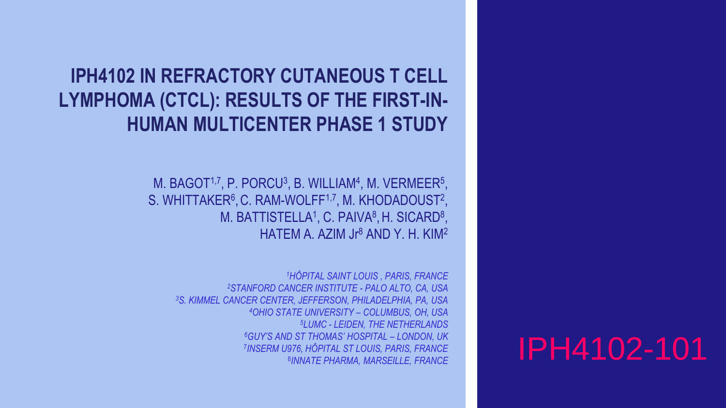## **IPH4102 IN REFRACTORY CUTANEOUS T CELL LYMPHOMA (CTCL): RESULTS OF THE FIRST-IN-HUMAN MULTICENTER PHASE 1 STUDY**

M. BAGOT<sup>1,7</sup>, P. PORCU<sup>3</sup>, B. WILLIAM<sup>4</sup>, M. VERMEER<sup>5</sup>, S. WHITTAKER<sup>6</sup>, C. RAM-WOLFF<sup>1,7</sup>, M. KHODADOUST<sup>2</sup>, M. BATTISTELLA<sup>1</sup>, C. PAIVA<sup>8</sup>, H. SICARD<sup>8</sup>, HATEM A. AZIM Jr<sup>8</sup> AND Y. H. KIM<sup>2</sup>

*HÔPITAL SAINT LOUIS , PARIS, FRANCE STANFORD CANCER INSTITUTE - PALO ALTO, CA, USA S. KIMMEL CANCER CENTER, JEFFERSON, PHILADELPHIA, PA, USA OHIO STATE UNIVERSITY – COLUMBUS, OH, USA LUMC - LEIDEN, THE NETHERLANDS GUY'S AND ST THOMAS' HOSPITAL – LONDON, UK INSERM U976, HÔPITAL ST LOUIS, PARIS, FRANCE*  8INNATE PHARMA, MARSEILLE, FRANCE

# *INNATE PHARMA, MARSEILLE, FRANCE* IPH4102-101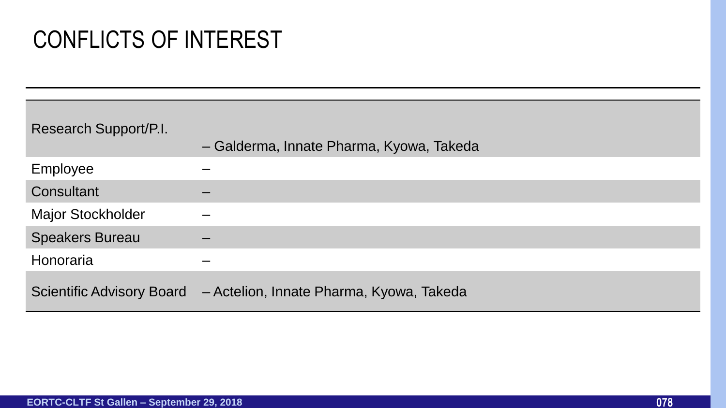## CONFLICTS OF INTEREST

| Research Support/P.I.            | - Galderma, Innate Pharma, Kyowa, Takeda |
|----------------------------------|------------------------------------------|
| Employee                         |                                          |
| Consultant                       |                                          |
| <b>Major Stockholder</b>         |                                          |
| <b>Speakers Bureau</b>           |                                          |
| Honoraria                        |                                          |
| <b>Scientific Advisory Board</b> | - Actelion, Innate Pharma, Kyowa, Takeda |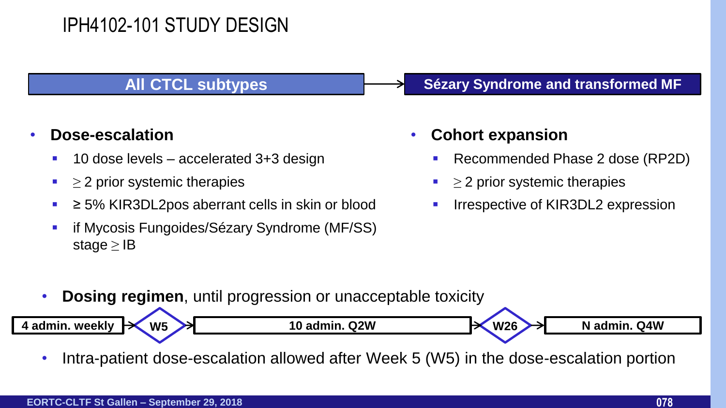### IPH4102-101 STUDY DESIGN

#### • **Dose-escalation**

- 10 dose levels accelerated 3+3 design
- $\blacksquare$   $\geq$  2 prior systemic therapies
- ≥ 5% KIR3DL2pos aberrant cells in skin or blood
- **F** if Mycosis Fungoides/Sézary Syndrome (MF/SS) stage  $\geq$  IB

#### **All CTCL subtypes Sézary Syndrome and transformed MF**

#### • **Cohort expansion**

- Recommended Phase 2 dose (RP2D)
- $\geq$  2 prior systemic therapies
- Irrespective of KIR3DL2 expression

**Dosing regimen**, until progression or unacceptable toxicity



• Intra-patient dose-escalation allowed after Week 5 (W5) in the dose-escalation portion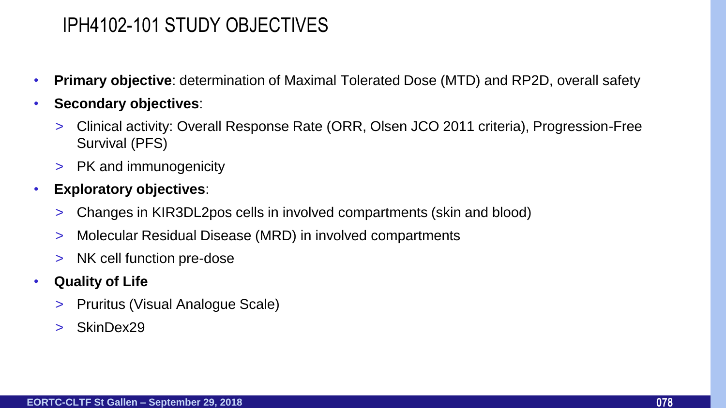#### IPH4102-101 STUDY OBJECTIVES

- **Primary objective**: determination of Maximal Tolerated Dose (MTD) and RP2D, overall safety
- **Secondary objectives**:
	- > Clinical activity: Overall Response Rate (ORR, Olsen JCO 2011 criteria), Progression-Free Survival (PFS)
	- > PK and immunogenicity
- **Exploratory objectives**:
	- > Changes in KIR3DL2pos cells in involved compartments (skin and blood)
	- > Molecular Residual Disease (MRD) in involved compartments
	- > NK cell function pre-dose
- **Quality of Life**
	- > Pruritus (Visual Analogue Scale)
	- > SkinDex29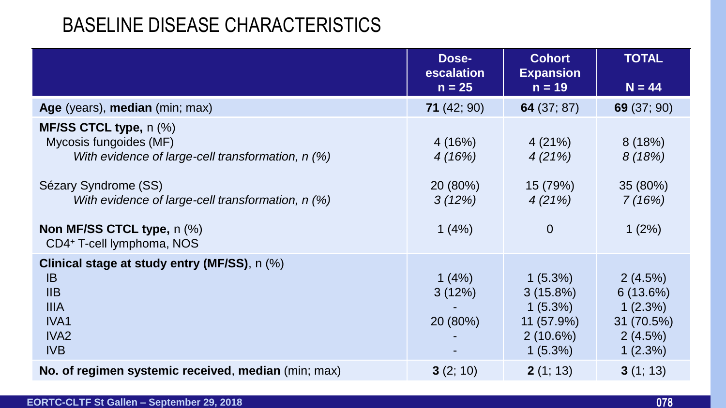#### BASELINE DISEASE CHARACTERISTICS

|                                                                                                                                                                                                                                               | Dose-<br>escalation<br>$n = 25$                 | <b>Cohort</b><br><b>Expansion</b><br>$n = 19$                                      | <b>TOTAL</b><br>$N = 44$                                           |
|-----------------------------------------------------------------------------------------------------------------------------------------------------------------------------------------------------------------------------------------------|-------------------------------------------------|------------------------------------------------------------------------------------|--------------------------------------------------------------------|
| Age (years), median (min; max)                                                                                                                                                                                                                | 71(42; 90)                                      | 64 $(37; 87)$                                                                      | 69 (37; 90)                                                        |
| MF/SS CTCL type, n (%)<br>Mycosis fungoides (MF)<br>With evidence of large-cell transformation, n (%)<br>Sézary Syndrome (SS)<br>With evidence of large-cell transformation, n (%)<br>Non MF/SS CTCL type, n (%)<br>CD4+ T-cell lymphoma, NOS | 4(16%)<br>4(16%)<br>20 (80%)<br>3(12%)<br>1(4%) | 4(21%)<br>4(21%)<br>15 (79%)<br>4(21%)<br>$\overline{0}$                           | 8(18%)<br>8(18%)<br>35 (80%)<br>7(16%)<br>1(2%)                    |
| Clinical stage at study entry (MF/SS), n (%)<br><b>IB</b><br>IIB<br><b>IIIA</b><br>IVA1<br>IVA <sub>2</sub><br><b>IVB</b>                                                                                                                     | 1(4%)<br>3(12%)<br>20 (80%)                     | $1(5.3\%)$<br>$3(15.8\%)$<br>$1(5.3\%)$<br>11 (57.9%)<br>$2(10.6\%)$<br>$1(5.3\%)$ | 2(4.5%)<br>6(13.6%)<br>1(2.3%)<br>31 (70.5%)<br>2(4.5%)<br>1(2.3%) |
| No. of regimen systemic received, median (min; max)                                                                                                                                                                                           | 3(2; 10)                                        | 2(1; 13)                                                                           | 3(1; 13)                                                           |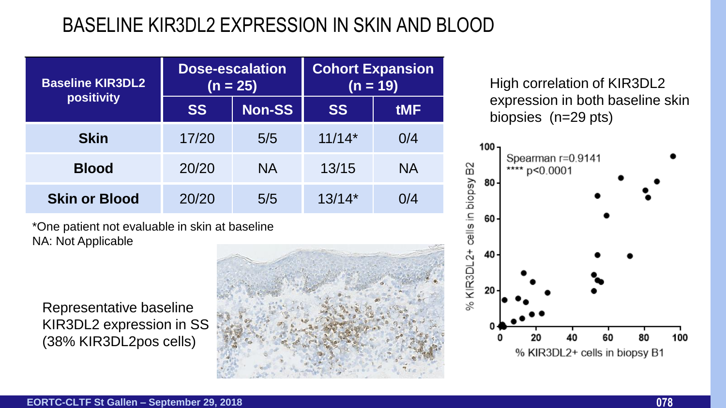## BASELINE KIR3DL2 EXPRESSION IN SKIN AND BLOOD

| <b>Baseline KIR3DL2</b> | <b>Dose-escalation</b><br>$(n = 25)$ |               | <b>Cohort Expansion</b><br>$(n = 19)$ |            |
|-------------------------|--------------------------------------|---------------|---------------------------------------|------------|
| positivity              | <b>SS</b>                            | <b>Non-SS</b> | <b>SS</b>                             | <b>tMF</b> |
| <b>Skin</b>             | 17/20                                | 5/5           | $11/14*$                              | 0/4        |
| <b>Blood</b>            | 20/20                                | <b>NA</b>     | 13/15                                 | <b>NA</b>  |
| <b>Skin or Blood</b>    | 20/20                                | 5/5           | $13/14*$                              | 0/4        |

\*One patient not evaluable in skin at baseline NA: Not Applicable

Representative baseline KIR3DL2 expression in SS (38% KIR3DL2pos cells)



High correlation of KIR3DL2 expression in both baseline skin biopsies (n=29 pts)

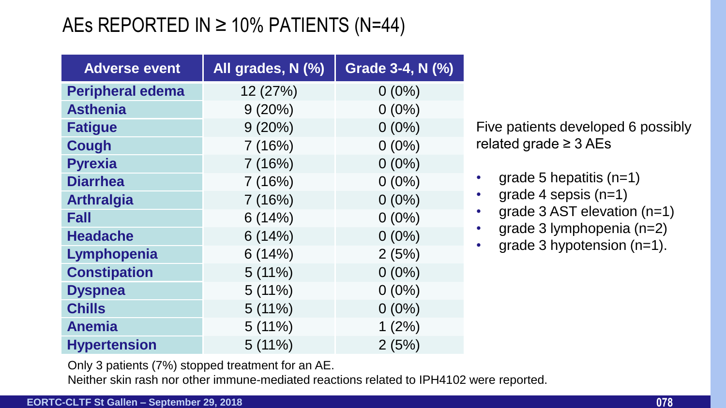## AEs REPORTED IN  $\geq$  10% PATIENTS (N=44)

| <b>Adverse event</b>    | All grades, N (%) | <b>Grade 3-4, N (%)</b> |
|-------------------------|-------------------|-------------------------|
| <b>Peripheral edema</b> | 12 (27%)          | $0(0\%)$                |
| <b>Asthenia</b>         | 9(20%)            | $0(0\%)$                |
| <b>Fatigue</b>          | $9(20\%)$         | $0(0\%)$                |
| <b>Cough</b>            | 7(16%)            | $0(0\%)$                |
| <b>Pyrexia</b>          | 7(16%)            | $0(0\%)$                |
| <b>Diarrhea</b>         | 7(16%)            | $0(0\%)$                |
| <b>Arthralgia</b>       | 7(16%)            | $0(0\%)$                |
| <b>Fall</b>             | 6(14%)            | $0(0\%)$                |
| <b>Headache</b>         | 6(14%)            | $0(0\%)$                |
| Lymphopenia             | 6(14%)            | 2(5%)                   |
| <b>Constipation</b>     | $5(11\%)$         | $0(0\%)$                |
| <b>Dyspnea</b>          | $5(11\%)$         | $0(0\%)$                |
| <b>Chills</b>           | $5(11\%)$         | $0(0\%)$                |
| <b>Anemia</b>           | $5(11\%)$         | 1(2%)                   |
| <b>Hypertension</b>     | 5(11%)            | 2(5%)                   |

Five patients developed 6 possibly related grade ≥ 3 AEs

- grade 5 hepatitis  $(n=1)$
- grade 4 sepsis  $(n=1)$
- grade 3 AST elevation (n=1)
- grade 3 lymphopenia (n=2)
- grade 3 hypotension (n=1).

Only 3 patients (7%) stopped treatment for an AE.

Neither skin rash nor other immune-mediated reactions related to IPH4102 were reported.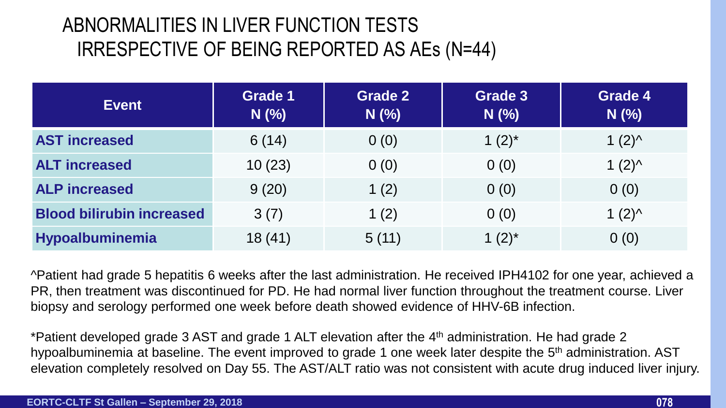## ABNORMALITIES IN LIVER FUNCTION TESTS IRRESPECTIVE OF BEING REPORTED AS AEs (N=44)

| <b>Event</b>                     | <b>Grade 1</b><br>$N$ (%) | <b>Grade 2</b><br>$N$ (%) | <b>Grade 3</b><br>$N$ (%) | <b>Grade 4</b><br>$N$ (%) |
|----------------------------------|---------------------------|---------------------------|---------------------------|---------------------------|
| <b>AST increased</b>             | 6(14)                     | 0(0)                      | 1 $(2)^*$                 | $1(2)^{A}$                |
| <b>ALT increased</b>             | 10(23)                    | 0(0)                      | 0(0)                      | $1(2)^{A}$                |
| <b>ALP increased</b>             | 9(20)                     | 1 $(2)$                   | 0(0)                      | 0(0)                      |
| <b>Blood bilirubin increased</b> | 3(7)                      | 1 $(2)$                   | 0(0)                      | $1(2)^{A}$                |
| Hypoalbuminemia                  | 18(41)                    | 5(11)                     | 1 $(2)^*$                 | 0(0)                      |

^Patient had grade 5 hepatitis 6 weeks after the last administration. He received IPH4102 for one year, achieved a PR, then treatment was discontinued for PD. He had normal liver function throughout the treatment course. Liver biopsy and serology performed one week before death showed evidence of HHV-6B infection.

\*Patient developed grade 3 AST and grade 1 ALT elevation after the 4<sup>th</sup> administration. He had grade 2 hypoalbuminemia at baseline. The event improved to grade 1 one week later despite the 5<sup>th</sup> administration. AST elevation completely resolved on Day 55. The AST/ALT ratio was not consistent with acute drug induced liver injury.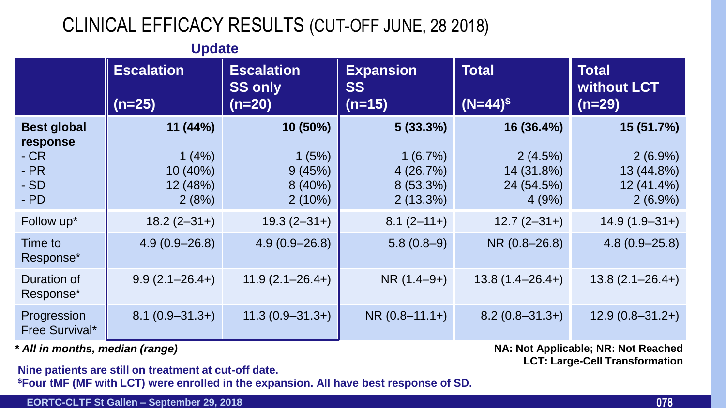## CLINICAL EFFICACY RESULTS (CUT-OFF JUNE, 28 2018)

|                                                                     | <b>Update</b>                                     |                                                 |                                                          |                                                            |                                                                    |
|---------------------------------------------------------------------|---------------------------------------------------|-------------------------------------------------|----------------------------------------------------------|------------------------------------------------------------|--------------------------------------------------------------------|
|                                                                     | <b>Escalation</b><br>$(n=25)$                     | <b>Escalation</b><br><b>SS only</b><br>$(n=20)$ | <b>Expansion</b><br><b>SS</b><br>$(n=15)$                | <b>Total</b><br>$(N=44)^{\$}$                              | <b>Total</b><br><b>without LCT</b><br>$(n=29)$                     |
| <b>Best global</b><br>response<br>$-CR$<br>$-PR$<br>$-SD$<br>$-$ PD | 11(44%)<br>1(4%)<br>10 (40%)<br>12 (48%)<br>2(8%) | 10 (50%)<br>1(5%)<br>9(45%)<br>8(40%)<br>2(10%) | 5(33.3%)<br>1(6.7%)<br>4(26.7%)<br>8 (53.3%)<br>2(13.3%) | 16 (36.4%)<br>2(4.5%)<br>14 (31.8%)<br>24 (54.5%)<br>4(9%) | 15 (51.7%)<br>$2(6.9\%)$<br>13 (44.8%)<br>12 (41.4%)<br>$2(6.9\%)$ |
| Follow up*                                                          | $18.2 (2 - 31 + )$                                | $19.3(2 - 31 + )$                               | $8.1 (2 - 11)$                                           | $12.7(2-31+)$                                              | $14.9(1.9-31+)$                                                    |
| Time to<br>Response*                                                | $4.9(0.9 - 26.8)$                                 | $4.9(0.9 - 26.8)$                               | $5.8(0.8-9)$                                             | NR (0.8-26.8)                                              | $4.8(0.9 - 25.8)$                                                  |
| Duration of<br>Response*                                            | $9.9(2.1 - 26.4+)$                                | $11.9(2.1 - 26.4+)$                             | $NR(1.4-9+)$                                             | $13.8(1.4 - 26.4+)$                                        | $13.8(2.1 - 26.4+)$                                                |
| Progression<br>Free Survival*                                       | $8.1(0.9 - 31.3+)$                                | $11.3(0.9 - 31.3+)$                             | $NR(0.8-11.1+)$                                          | $8.2(0.8 - 31.3+)$                                         | $12.9(0.8 - 31.2+)$                                                |

*\* All in months, median (range)* **NA: Not Applicable; NR: Not Reached LCT: Large-Cell Transformation**

**Nine patients are still on treatment at cut-off date. \$Four tMF (MF with LCT) were enrolled in the expansion. All have best response of SD.**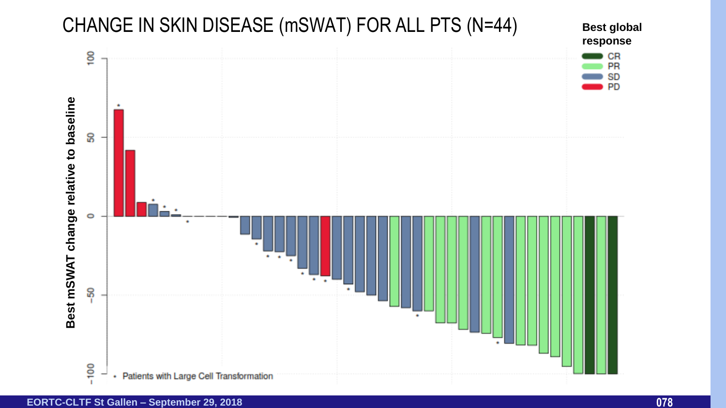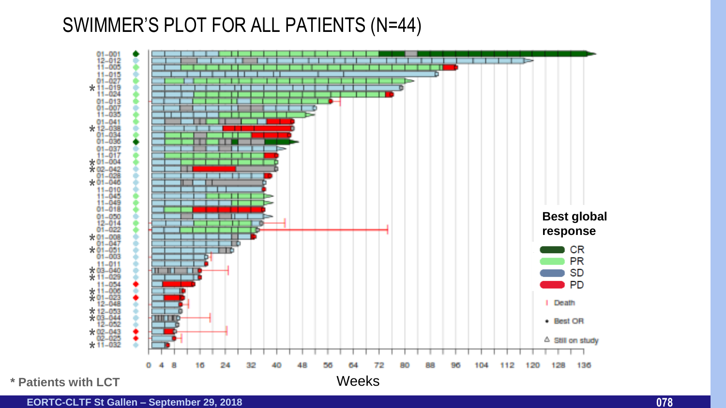#### SWIMMER'S PLOT FOR ALL PATIENTS (N=44)



**\* Patients with LCT**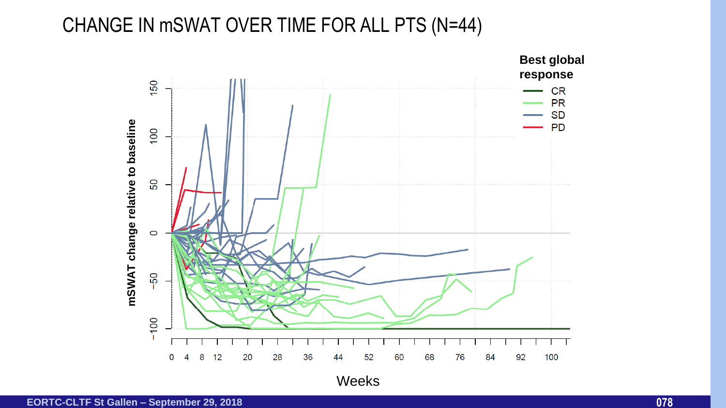#### CHANGE IN mSWAT OVER TIME FOR ALL PTS (N=44)



**EORTC-CLTF St Gallen – September 29, 2018 078**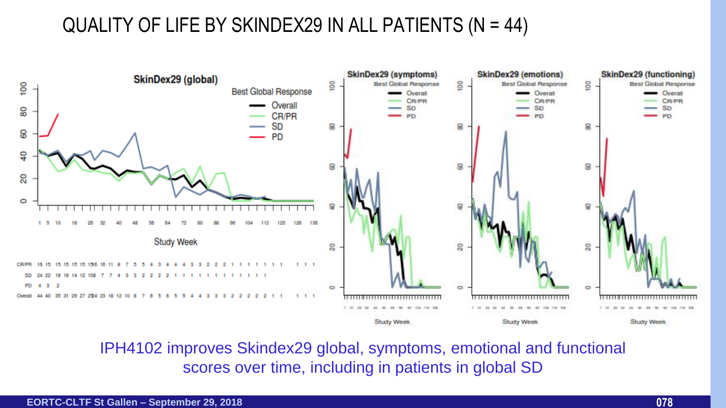### QUALITY OF LIFE BY SKINDEX29 IN ALL PATIENTS (N = 44)



IPH4102 improves Skindex29 global, symptoms, emotional and functional scores over time, including in patients in global SD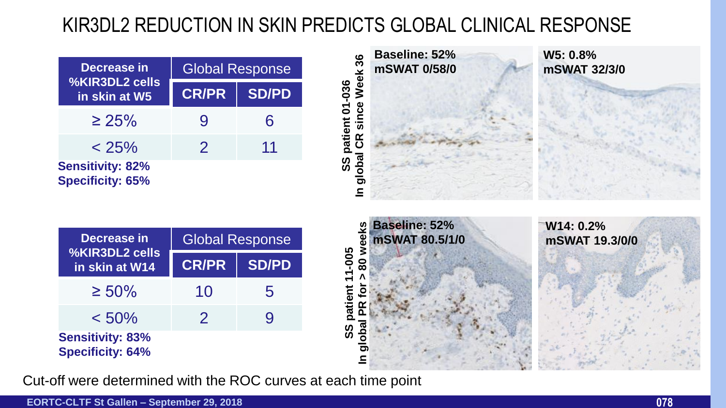## KIR3DL2 REDUCTION IN SKIN PREDICTS GLOBAL CLINICAL RESPONSE

| Decrease in                                        | <b>Global Response</b> |              |  |
|----------------------------------------------------|------------------------|--------------|--|
| %KIR3DL2 cells<br>in skin at W5                    | <b>CR/PR</b>           | <b>SD/PD</b> |  |
| $\geq 25\%$                                        | 9                      | 6            |  |
| $< 25\%$                                           | $\mathcal{P}$          | 11           |  |
| <b>Sensitivity: 82%</b><br><b>Specificity: 65%</b> |                        |              |  |



| Decrease in                                        | <b>Global Response</b> |              |  |
|----------------------------------------------------|------------------------|--------------|--|
| <b>%KIR3DL2 cells</b><br>in skin at W14            | <b>CR/PR</b>           | <b>SD/PD</b> |  |
| $\geq 50\%$                                        | 10                     | 5            |  |
| $< 50\%$                                           | $\mathcal{P}$          | 9            |  |
| <b>Sensitivity: 83%</b><br><b>Specificity: 64%</b> |                        |              |  |



Cut-off were determined with the ROC curves at each time point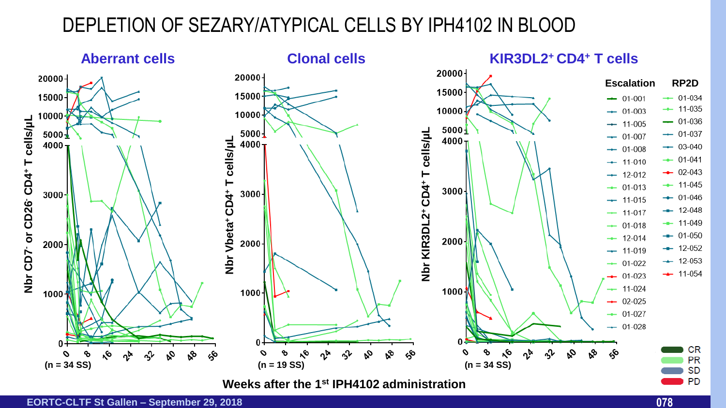### DEPLETION OF SEZARY/ATYPICAL CELLS BY IPH4102 IN BLOOD

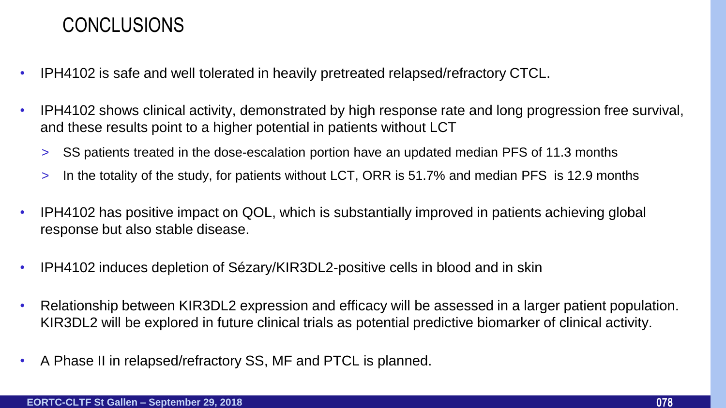#### CONCLUSIONS

- IPH4102 is safe and well tolerated in heavily pretreated relapsed/refractory CTCL.
- IPH4102 shows clinical activity, demonstrated by high response rate and long progression free survival, and these results point to a higher potential in patients without LCT
	- > SS patients treated in the dose-escalation portion have an updated median PFS of 11.3 months
	- > In the totality of the study, for patients without LCT, ORR is 51.7% and median PFS is 12.9 months
- IPH4102 has positive impact on QOL, which is substantially improved in patients achieving global response but also stable disease.
- IPH4102 induces depletion of Sézary/KIR3DL2-positive cells in blood and in skin
- Relationship between KIR3DL2 expression and efficacy will be assessed in a larger patient population. KIR3DL2 will be explored in future clinical trials as potential predictive biomarker of clinical activity.
- A Phase II in relapsed/refractory SS, MF and PTCL is planned.